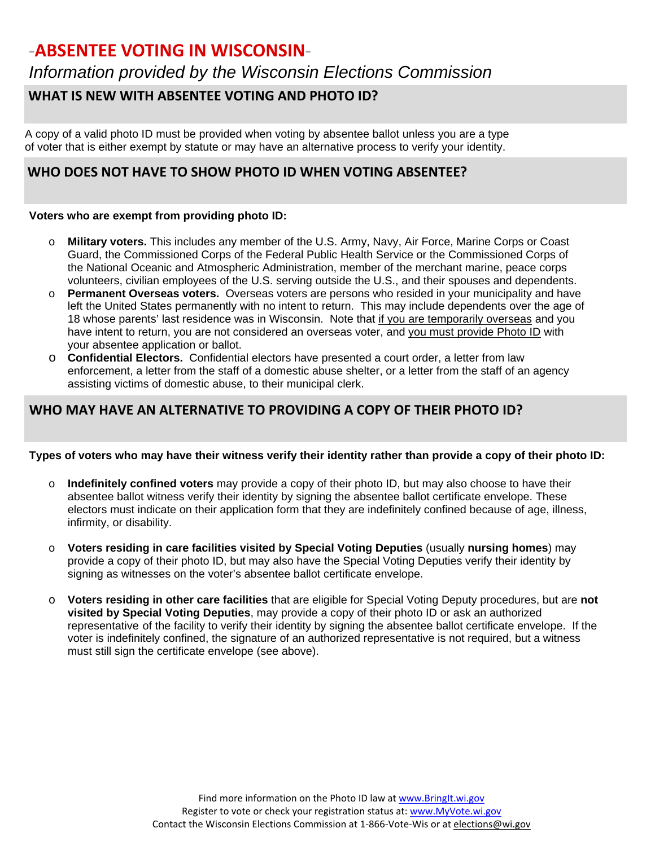*Information provided by the Wisconsin Elections Commission*

### **WHAT IS NEW WITH ABSENTEE VOTING AND PHOTO ID?**

A copy of a valid photo ID must be provided when voting by absentee ballot unless you are a type of voter that is either exempt by statute or may have an alternative process to verify your identity.

#### **WHO DOES NOT HAVE TO SHOW PHOTO ID WHEN VOTING ABSENTEE?**

#### **Voters who are exempt from providing photo ID:**

- o **Military voters.** This includes any member of the U.S. Army, Navy, Air Force, Marine Corps or Coast Guard, the Commissioned Corps of the Federal Public Health Service or the Commissioned Corps of the National Oceanic and Atmospheric Administration, member of the merchant marine, peace corps volunteers, civilian employees of the U.S. serving outside the U.S., and their spouses and dependents.
- o **Permanent Overseas voters.** Overseas voters are persons who resided in your municipality and have left the United States permanently with no intent to return. This may include dependents over the age of 18 whose parents' last residence was in Wisconsin. Note that if you are temporarily overseas and you have intent to return, you are not considered an overseas voter, and you must provide Photo ID with your absentee application or ballot.
- o **Confidential Electors.** Confidential electors have presented a court order, a letter from law enforcement, a letter from the staff of a domestic abuse shelter, or a letter from the staff of an agency assisting victims of domestic abuse, to their municipal clerk.

### **WHO MAY HAVE AN ALTERNATIVE TO PROVIDING A COPY OF THEIR PHOTO ID?**

#### **Types of voters who may have their witness verify their identity rather than provide a copy of their photo ID:**

- o **Indefinitely confined voters** may provide a copy of their photo ID, but may also choose to have their absentee ballot witness verify their identity by signing the absentee ballot certificate envelope. These electors must indicate on their application form that they are indefinitely confined because of age, illness, infirmity, or disability.
- o **Voters residing in care facilities visited by Special Voting Deputies** (usually **nursing homes**) may provide a copy of their photo ID, but may also have the Special Voting Deputies verify their identity by signing as witnesses on the voter's absentee ballot certificate envelope.
- o **Voters residing in other care facilities** that are eligible for Special Voting Deputy procedures, but are **not visited by Special Voting Deputies**, may provide a copy of their photo ID or ask an authorized representative of the facility to verify their identity by signing the absentee ballot certificate envelope. If the voter is indefinitely confined, the signature of an authorized representative is not required, but a witness must still sign the certificate envelope (see above).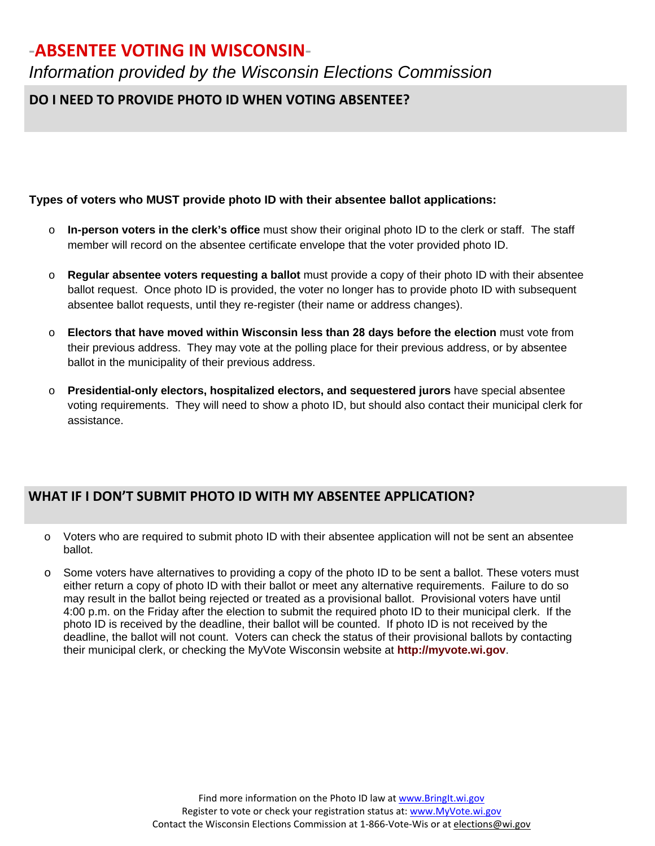*Information provided by the Wisconsin Elections Commission*

## **DO I NEED TO PROVIDE PHOTO ID WHEN VOTING ABSENTEE?**

#### **Types of voters who MUST provide photo ID with their absentee ballot applications:**

- o **In-person voters in the clerk's office** must show their original photo ID to the clerk or staff. The staff member will record on the absentee certificate envelope that the voter provided photo ID.
- o **Regular absentee voters requesting a ballot** must provide a copy of their photo ID with their absentee ballot request. Once photo ID is provided, the voter no longer has to provide photo ID with subsequent absentee ballot requests, until they re-register (their name or address changes).
- o **Electors that have moved within Wisconsin less than 28 days before the election** must vote from their previous address. They may vote at the polling place for their previous address, or by absentee ballot in the municipality of their previous address.
- o **Presidential-only electors, hospitalized electors, and sequestered jurors** have special absentee voting requirements. They will need to show a photo ID, but should also contact their municipal clerk for assistance.

#### **WHAT IF I DON'T SUBMIT PHOTO ID WITH MY ABSENTEE APPLICATION?**

- o Voters who are required to submit photo ID with their absentee application will not be sent an absentee ballot.
- o Some voters have alternatives to providing a copy of the photo ID to be sent a ballot. These voters must either return a copy of photo ID with their ballot or meet any alternative requirements. Failure to do so may result in the ballot being rejected or treated as a provisional ballot. Provisional voters have until 4:00 p.m. on the Friday after the election to submit the required photo ID to their municipal clerk. If the photo ID is received by the deadline, their ballot will be counted. If photo ID is not received by the deadline, the ballot will not count. Voters can check the status of their provisional ballots by contacting their municipal clerk, or checking the MyVote Wisconsin website at **[http://myvote.wi.gov](http://myvote.wi.gov/)**.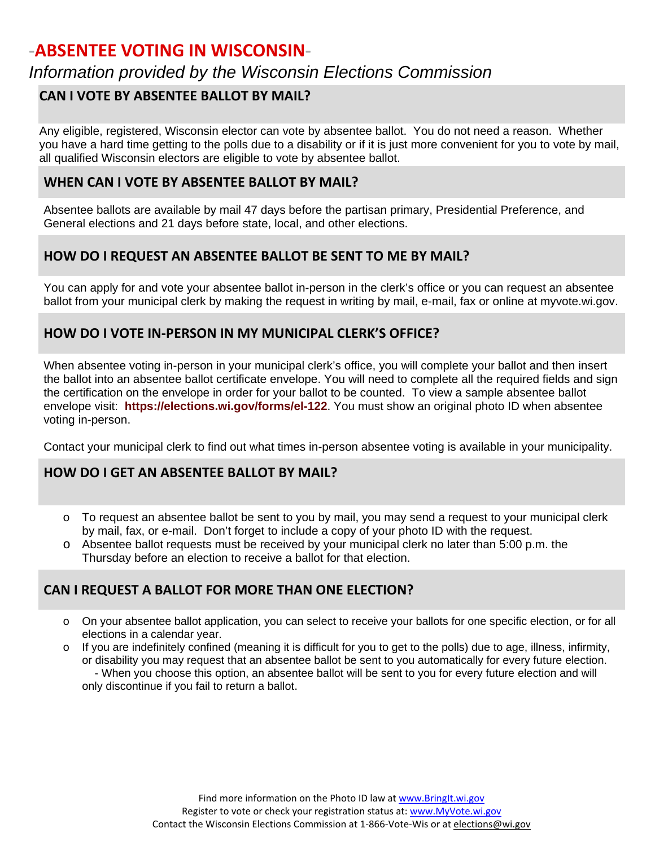## *Information provided by the Wisconsin Elections Commission*

#### **CAN I VOTE BY ABSENTEE BALLOT BY MAIL?**

Any eligible, registered, Wisconsin elector can vote by absentee ballot. You do not need a reason. Whether you have a hard time getting to the polls due to a disability or if it is just more convenient for you to vote by mail, all qualified Wisconsin electors are eligible to vote by absentee ballot.

#### **WHEN CAN I VOTE BY ABSENTEE BALLOT BY MAIL?**

Absentee ballots are available by mail 47 days before the partisan primary, Presidential Preference, and General elections and 21 days before state, local, and other elections.

## **HOW DO I REQUEST AN ABSENTEE BALLOT BE SENT TO ME BY MAIL?**

You can apply for and vote your absentee ballot in-person in the clerk's office or you can request an absentee ballot from your municipal clerk by making the request in writing by mail, e-mail, fax or online at myvote.wi.gov.

### **HOW DO I VOTE IN-PERSON IN MY MUNICIPAL CLERK'S OFFICE?**

When absentee voting in-person in your municipal clerk's office, you will complete your ballot and then insert the ballot into an absentee ballot certificate envelope. You will need to complete all the required fields and sign the certification on the envelope in order for your ballot to be counted. To view a sample absentee ballot envelope visit: **<https://elections.wi.gov/forms/el-122>**. You must show an original photo ID when absentee voting in-person.

Contact your municipal clerk to find out what times in-person absentee voting is available in your municipality.

### **HOW DO I GET AN ABSENTEE BALLOT BY MAIL?**

- o To request an absentee ballot be sent to you by mail, you may send a request to your municipal clerk by mail, fax, or e-mail. Don't forget to include a copy of your photo ID with the request.
- o Absentee ballot requests must be received by your municipal clerk no later than 5:00 p.m. the Thursday before an election to receive a ballot for that election.

#### **CAN I REQUEST A BALLOT FOR MORE THAN ONE ELECTION?**

- o On your absentee ballot application, you can select to receive your ballots for one specific election, or for all elections in a calendar year.
- $\circ$  If you are indefinitely confined (meaning it is difficult for you to get to the polls) due to age, illness, infirmity, or disability you may request that an absentee ballot be sent to you automatically for every future election. - When you choose this option, an absentee ballot will be sent to you for every future election and will only discontinue if you fail to return a ballot.